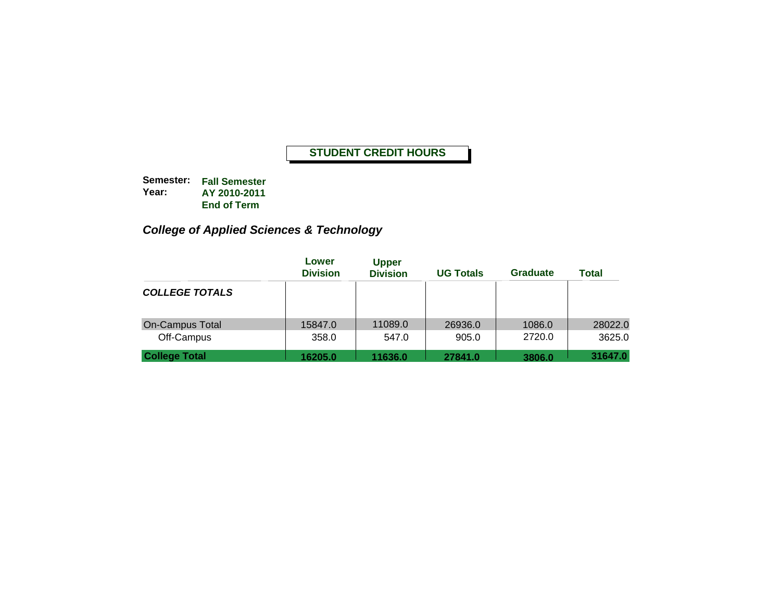**Semester: Fall Semester Year: AY 2010-2011 End of Term**

# *College of Applied Sciences & Technology*

|                                      | Lower<br><b>Division</b> | <b>Upper</b><br><b>Division</b> | <b>UG Totals</b> | Graduate         | <b>Total</b>      |
|--------------------------------------|--------------------------|---------------------------------|------------------|------------------|-------------------|
| <b>COLLEGE TOTALS</b>                |                          |                                 |                  |                  |                   |
| <b>On-Campus Total</b><br>Off-Campus | 15847.0<br>358.0         | 11089.0<br>547.0                | 26936.0<br>905.0 | 1086.0<br>2720.0 | 28022.0<br>3625.0 |
| <b>College Total</b>                 | 16205.0                  | 11636.0                         | 27841.0          | 3806.0           | 31647.0           |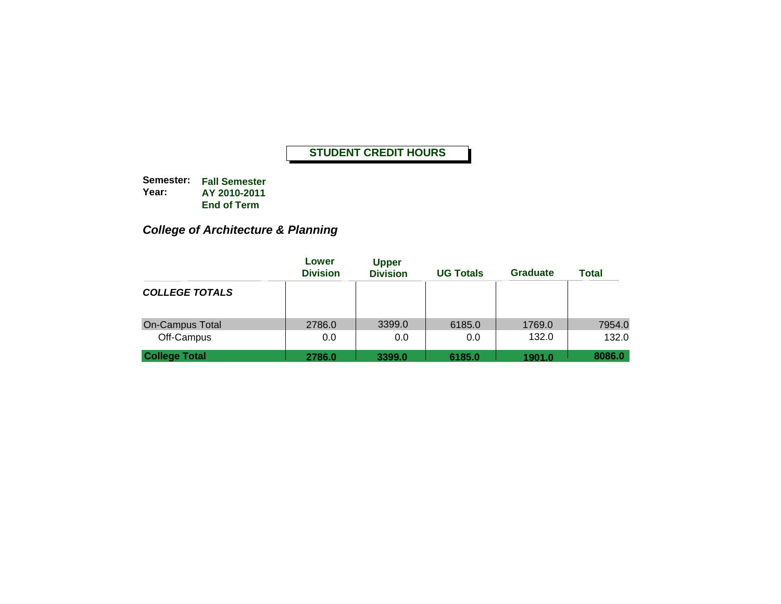**Semester: Fall Semester Year: AY 2010-2011 End of Term**

# *College of Architecture & Planning*

|                                      | Lower<br><b>Division</b> | <b>Upper</b><br><b>Division</b> | <b>UG Totals</b> | Graduate        | Total           |
|--------------------------------------|--------------------------|---------------------------------|------------------|-----------------|-----------------|
| <b>COLLEGE TOTALS</b>                |                          |                                 |                  |                 |                 |
| <b>On-Campus Total</b><br>Off-Campus | 2786.0<br>0.0            | 3399.0<br>0.0                   | 6185.0<br>0.0    | 1769.0<br>132.0 | 7954.0<br>132.0 |
| <b>College Total</b>                 | 2786.0                   | 3399.0                          | 6185.0           | 1901.0          | 8086.0          |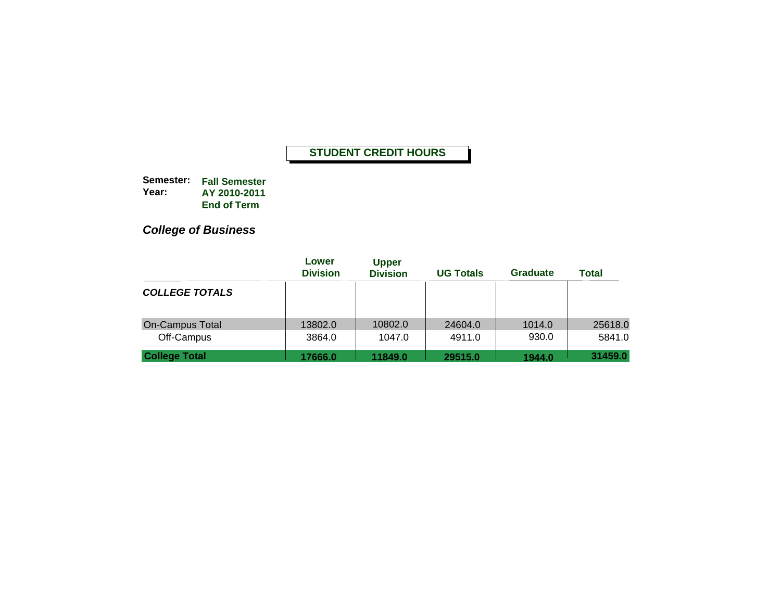**Semester: Fall Semester Year: AY 2010-2011End of Term**

*College of Business*

|                                      | Lower<br><b>Division</b> | <b>Upper</b><br><b>Division</b> | <b>UG Totals</b>  | <b>Graduate</b> | <b>Total</b>      |
|--------------------------------------|--------------------------|---------------------------------|-------------------|-----------------|-------------------|
| <b>COLLEGE TOTALS</b>                |                          |                                 |                   |                 |                   |
| <b>On-Campus Total</b><br>Off-Campus | 13802.0<br>3864.0        | 10802.0<br>1047.0               | 24604.0<br>4911.0 | 1014.0<br>930.0 | 25618.0<br>5841.0 |
| <b>College Total</b>                 | 17666.0                  | 11849.0                         | 29515.0           | 1944.0          | 31459.0           |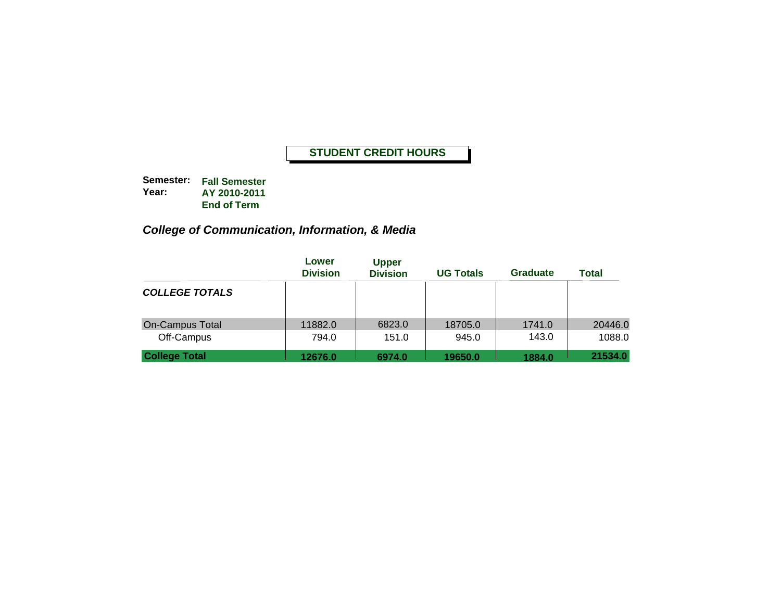**Semester: Fall Semester Year: AY 2010-2011 End of Term**

# *College of Communication, Information, & Media*

|                                      | Lower<br><b>Division</b> | <b>Upper</b><br><b>Division</b> | <b>UG Totals</b> | Graduate        | Total             |
|--------------------------------------|--------------------------|---------------------------------|------------------|-----------------|-------------------|
| <b>COLLEGE TOTALS</b>                |                          |                                 |                  |                 |                   |
| <b>On-Campus Total</b><br>Off-Campus | 11882.0<br>794.0         | 6823.0<br>151.0                 | 18705.0<br>945.0 | 1741.0<br>143.0 | 20446.0<br>1088.0 |
| <b>College Total</b>                 | 12676.0                  | 6974.0                          | 19650.0          | 1884.0          | 21534.0           |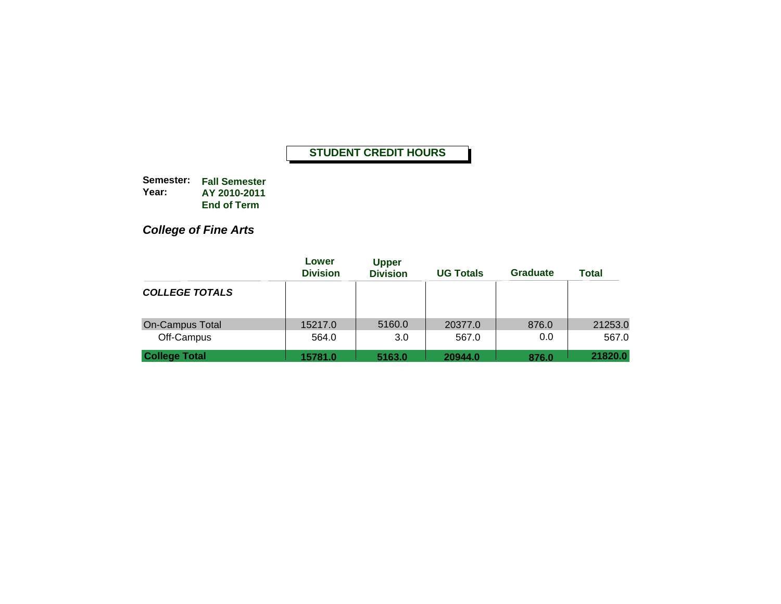**Semester: Fall Semester Year: AY 2010-2011 End of Term**

*College of Fine Arts*

|                                      | Lower<br><b>Division</b> | <b>Upper</b><br><b>Division</b> | <b>UG Totals</b> | <b>Graduate</b> | <b>Total</b>     |
|--------------------------------------|--------------------------|---------------------------------|------------------|-----------------|------------------|
| <b>COLLEGE TOTALS</b>                |                          |                                 |                  |                 |                  |
| <b>On-Campus Total</b><br>Off-Campus | 15217.0<br>564.0         | 5160.0<br>3.0                   | 20377.0<br>567.0 | 876.0<br>0.0    | 21253.0<br>567.0 |
| <b>College Total</b>                 | 15781.0                  | 5163.0                          | 20944.0          | 876.0           | 21820.0          |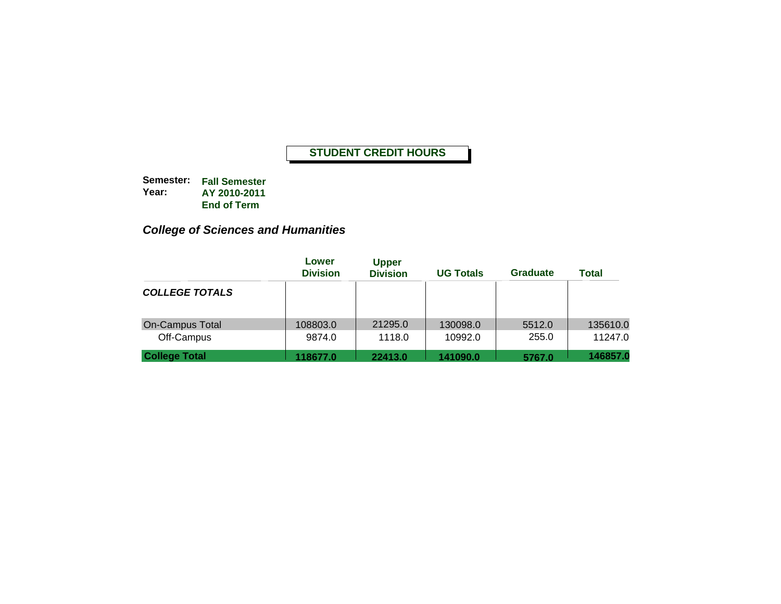**Semester: Fall Semester Year: AY 2010-2011 End of Term**

# *College of Sciences and Humanities*

|                                      | Lower<br><b>Division</b> | <b>Upper</b><br><b>Division</b> | <b>UG Totals</b>    | Graduate        | Total               |
|--------------------------------------|--------------------------|---------------------------------|---------------------|-----------------|---------------------|
| <b>COLLEGE TOTALS</b>                |                          |                                 |                     |                 |                     |
| <b>On-Campus Total</b><br>Off-Campus | 108803.0<br>9874.0       | 21295.0<br>1118.0               | 130098.0<br>10992.0 | 5512.0<br>255.0 | 135610.0<br>11247.0 |
| <b>College Total</b>                 | 118677.0                 | 22413.0                         | 141090.0            | 5767.0          | 146857.0            |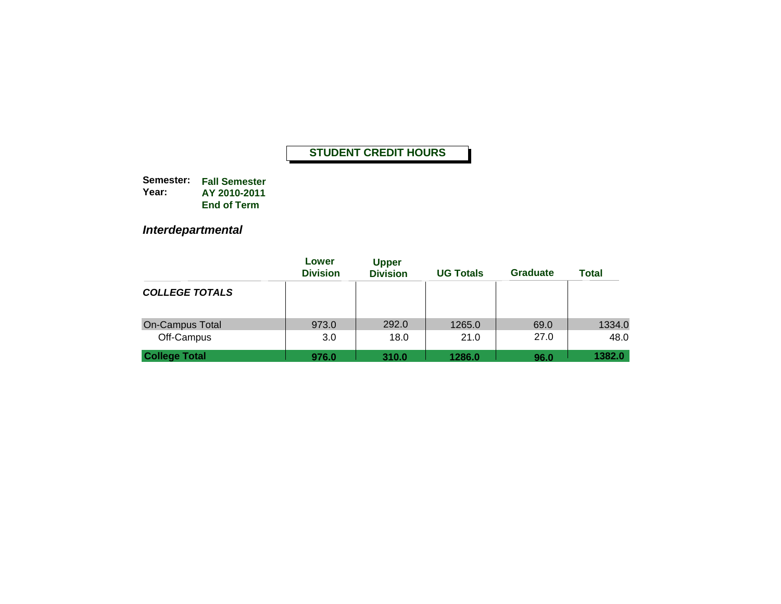**Semester: Fall Semester Year: AY 2010-2011End of Term**

*Interdepartmental*

|                                      | Lower<br><b>Division</b> | <b>Upper</b><br><b>Division</b> | <b>UG Totals</b> | <b>Graduate</b> | <b>Total</b>   |
|--------------------------------------|--------------------------|---------------------------------|------------------|-----------------|----------------|
| <b>COLLEGE TOTALS</b>                |                          |                                 |                  |                 |                |
| <b>On-Campus Total</b><br>Off-Campus | 973.0<br>3.0             | 292.0<br>18.0                   | 1265.0<br>21.0   | 69.0<br>27.0    | 1334.0<br>48.0 |
| <b>College Total</b>                 | 976.0                    | 310.0                           | 1286.0           | 96.0            | 1382.0         |